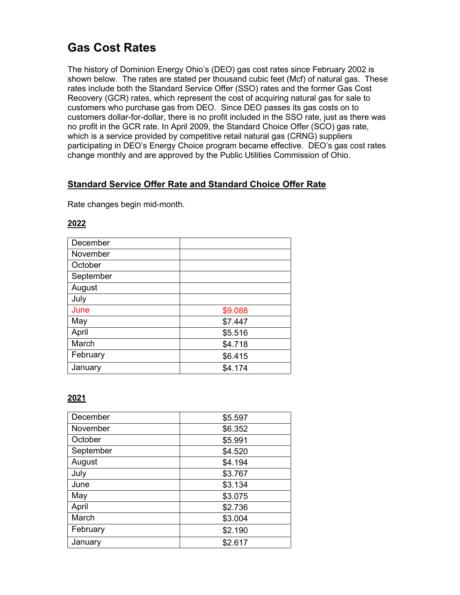# **Gas Cost Rates**

The history of Dominion Energy Ohio's (DEO) gas cost rates since February 2002 is shown below. The rates are stated per thousand cubic feet (Mcf) of natural gas. These rates include both the Standard Service Offer (SSO) rates and the former Gas Cost Recovery (GCR) rates, which represent the cost of acquiring natural gas for sale to customers who purchase gas from DEO. Since DEO passes its gas costs on to customers dollar-for-dollar, there is no profit included in the SSO rate, just as there was no profit in the GCR rate. In April 2009, the Standard Choice Offer (SCO) gas rate, which is a service provided by competitive retail natural gas (CRNG) suppliers participating in DEO's Energy Choice program became effective. DEO's gas cost rates change monthly and are approved by the Public Utilities Commission of Ohio.

#### **Standard Service Offer Rate and Standard Choice Offer Rate**

Rate changes begin mid-month.

| ۰.<br>w |
|---------|
|         |

| December  |         |
|-----------|---------|
| November  |         |
| October   |         |
| September |         |
| August    |         |
| July      |         |
| June      | \$9.088 |
| May       | \$7.447 |
| April     | \$5.516 |
| March     | \$4.718 |
| February  | \$6.415 |
| January   | \$4.174 |

| December  | \$5.597 |
|-----------|---------|
| November  | \$6.352 |
| October   | \$5.991 |
| September | \$4.520 |
| August    | \$4.194 |
| July      | \$3.767 |
| June      | \$3.134 |
| May       | \$3.075 |
| April     | \$2.736 |
| March     | \$3.004 |
| February  | \$2.190 |
| January   | \$2.617 |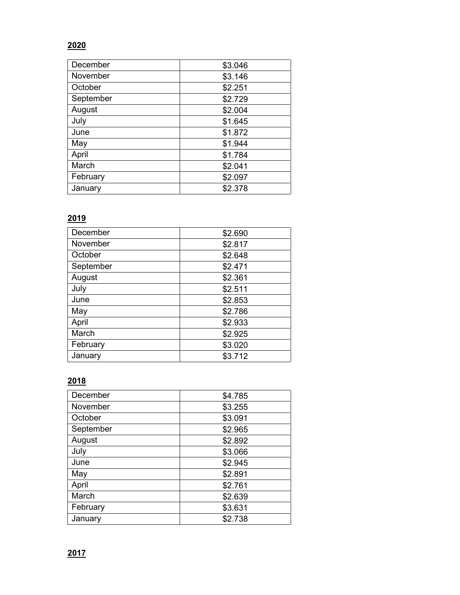| December  | \$3.046 |
|-----------|---------|
| November  | \$3.146 |
| October   | \$2.251 |
| September | \$2.729 |
| August    | \$2.004 |
| July      | \$1.645 |
| June      | \$1.872 |
| May       | \$1.944 |
| April     | \$1.784 |
| March     | \$2.041 |
| February  | \$2.097 |
| January   | \$2.378 |

## **2019**

| \$2.690 |
|---------|
| \$2.817 |
| \$2.648 |
| \$2.471 |
| \$2.361 |
| \$2.511 |
| \$2.853 |
| \$2.786 |
| \$2.933 |
| \$2.925 |
| \$3.020 |
| \$3.712 |
|         |

| \$4.785 |
|---------|
| \$3.255 |
| \$3.091 |
| \$2.965 |
| \$2.892 |
| \$3.066 |
| \$2.945 |
| \$2.891 |
| \$2.761 |
| \$2.639 |
| \$3.631 |
| \$2.738 |
|         |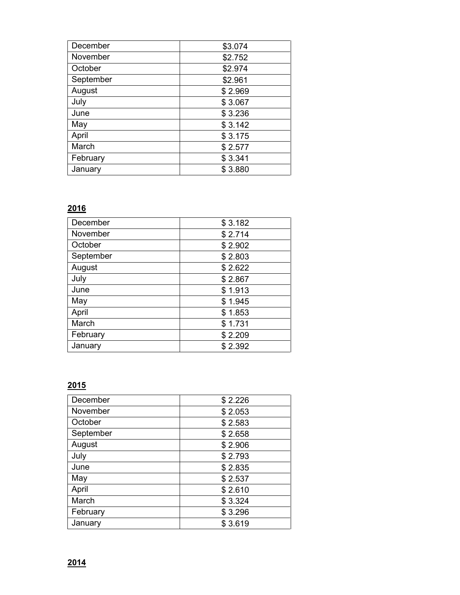| December  | \$3.074 |
|-----------|---------|
| November  | \$2.752 |
| October   | \$2.974 |
| September | \$2.961 |
| August    | \$2.969 |
| July      | \$3.067 |
| June      | \$3.236 |
| May       | \$3.142 |
| April     | \$3.175 |
| March     | \$2.577 |
| February  | \$3.341 |
| January   | \$3.880 |

| December  | \$3.182 |
|-----------|---------|
| November  | \$2.714 |
| October   | \$2.902 |
| September | \$2.803 |
| August    | \$2.622 |
| July      | \$2.867 |
| June      | \$1.913 |
| May       | \$1.945 |
| April     | \$1.853 |
| March     | \$1.731 |
| February  | \$2.209 |
| January   | \$2.392 |
|           |         |

| \$2.226 |
|---------|
| \$2.053 |
| \$2.583 |
| \$2.658 |
| \$2.906 |
| \$2.793 |
| \$2.835 |
| \$2.537 |
| \$2.610 |
| \$3.324 |
| \$3.296 |
| \$3.619 |
|         |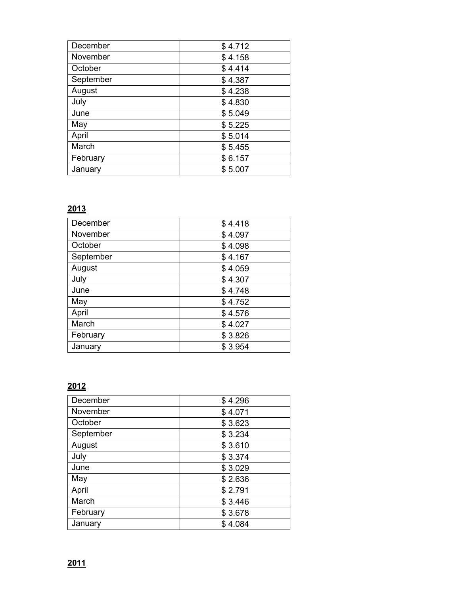| December  | \$4.712 |
|-----------|---------|
| November  | \$4.158 |
| October   | \$4.414 |
| September | \$4.387 |
| August    | \$4.238 |
| July      | \$4.830 |
| June      | \$5.049 |
| May       | \$5.225 |
| April     | \$5.014 |
| March     | \$5.455 |
| February  | \$6.157 |
| January   | \$5.007 |

| December  | \$4.418 |
|-----------|---------|
| November  | \$4.097 |
| October   | \$4.098 |
| September | \$4.167 |
| August    | \$4.059 |
| July      | \$4.307 |
| June      | \$4.748 |
| May       | \$4.752 |
| April     | \$4.576 |
| March     | \$4.027 |
| February  | \$3.826 |
| January   | \$3.954 |
|           |         |

| December  | \$4.296 |
|-----------|---------|
| November  | \$4.071 |
| October   | \$3.623 |
| September | \$3.234 |
| August    | \$3.610 |
| July      | \$3.374 |
| June      | \$3.029 |
| May       | \$2.636 |
| April     | \$2.791 |
| March     | \$3.446 |
| February  | \$3.678 |
| January   | \$4.084 |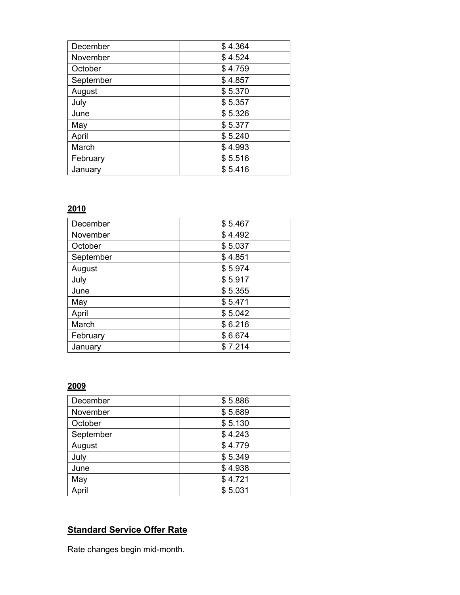| December  | \$4.364 |
|-----------|---------|
| November  | \$4.524 |
| October   | \$4.759 |
| September | \$4.857 |
| August    | \$5.370 |
| July      | \$5.357 |
| June      | \$5.326 |
| May       | \$5.377 |
| April     | \$5.240 |
| March     | \$4.993 |
| February  | \$5.516 |
| January   | \$5.416 |

| December  | \$5.467 |
|-----------|---------|
| November  | \$4.492 |
| October   | \$5.037 |
| September | \$4.851 |
| August    | \$5.974 |
| July      | \$5.917 |
| June      | \$5.355 |
| May       | \$5.471 |
| April     | \$5.042 |
| March     | \$6.216 |
| February  | \$6.674 |
| January   | \$7.214 |

## **2009**

| December  | \$5.886 |
|-----------|---------|
| November  | \$5.689 |
| October   | \$5.130 |
| September | \$4.243 |
| August    | \$4.779 |
| July      | \$5.349 |
| June      | \$4.938 |
| May       | \$4.721 |
| April     | \$5.031 |
|           |         |

# **Standard Service Offer Rate**

Rate changes begin mid-month.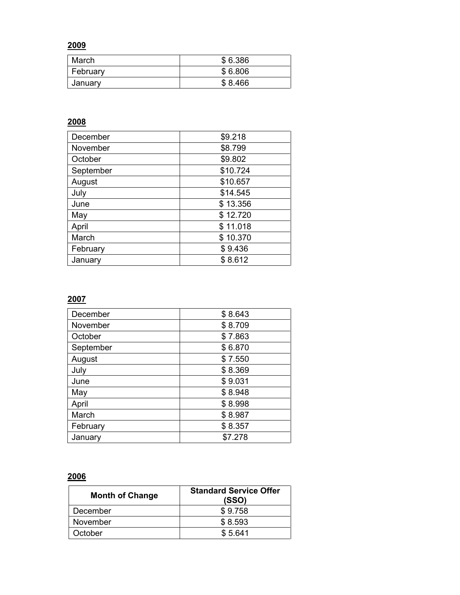| March    | \$6.386 |
|----------|---------|
| February | \$6.806 |
| January  | \$8.466 |

# **2008**

| December  | \$9.218  |
|-----------|----------|
| November  | \$8.799  |
| October   | \$9.802  |
| September | \$10.724 |
| August    | \$10.657 |
| July      | \$14.545 |
| June      | \$13.356 |
| May       | \$12.720 |
| April     | \$11.018 |
| March     | \$10.370 |
| February  | \$9.436  |
| January   | \$8.612  |

# **2007**

| December  | \$8.643 |
|-----------|---------|
| November  | \$8.709 |
| October   | \$7.863 |
| September | \$6.870 |
| August    | \$7.550 |
| July      | \$8.369 |
| June      | \$9.031 |
| May       | \$8.948 |
| April     | \$8.998 |
| March     | \$8.987 |
| February  | \$8.357 |
| January   | \$7.278 |

| <b>Month of Change</b> | <b>Standard Service Offer</b><br>(SSO) |
|------------------------|----------------------------------------|
| December               | \$9.758                                |
| November               | \$8.593                                |
| October                | \$5.641                                |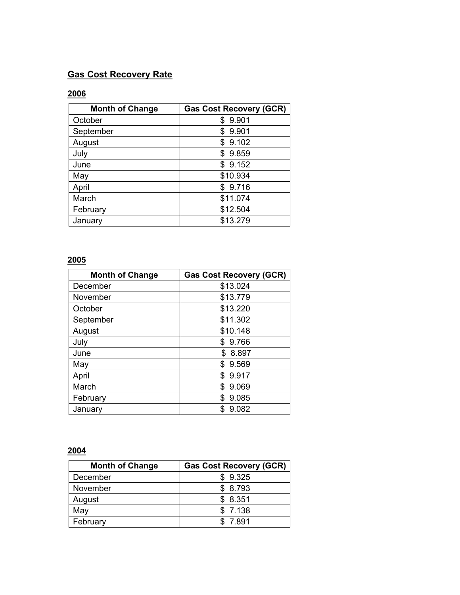# **Gas Cost Recovery Rate**

# **2006**

| <b>Month of Change</b> | <b>Gas Cost Recovery (GCR)</b> |
|------------------------|--------------------------------|
| October                | 9.901<br>S                     |
| September              | \$9.901                        |
| August                 | \$9.102                        |
| July                   | \$9.859                        |
| June                   | \$9.152                        |
| May                    | \$10.934                       |
| April                  | \$9.716                        |
| March                  | \$11.074                       |
| February               | \$12.504                       |
| January                | \$13.279                       |

#### **2005**

| <b>Month of Change</b> | <b>Gas Cost Recovery (GCR)</b> |
|------------------------|--------------------------------|
| December               | \$13.024                       |
| November               | \$13.779                       |
| October                | \$13.220                       |
| September              | \$11.302                       |
| August                 | \$10.148                       |
| July                   | \$9.766                        |
| June                   | \$8.897                        |
| May                    | 9.569<br>\$.                   |
| April                  | 9.917<br>S                     |
| March                  | 9.069<br>S                     |
| February               | 9.085                          |
| January                | 9.082                          |

| <b>Month of Change</b> | <b>Gas Cost Recovery (GCR)</b> |
|------------------------|--------------------------------|
| December               | \$9.325                        |
| November               | \$8.793                        |
| August                 | \$8.351                        |
| May                    | \$7.138                        |
| February               | \$7.891                        |